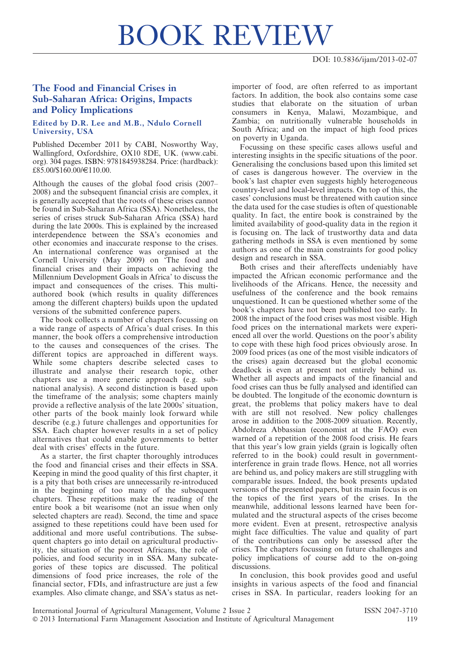## BOOK REVIEW

## The Food and Financial Crises in Sub-Saharan Africa: Origins, Impacts and Policy Implications

## Edited by D.R. Lee and M.B., Ndulo Cornell University, USA

Published December 2011 by CABI, Nosworthy Way, Wallingford, Oxfordshire, OX10 8DE, UK. (www.cabi. org). 304 pages. ISBN: 9781845938284. Price: (hardback): £85.00/\$160.00/€110.00.

Although the causes of the global food crisis (2007– 2008) and the subsequent financial crisis are complex, it is generally accepted that the roots of these crises cannot be found in Sub-Saharan Africa (SSA). Nonetheless, the series of crises struck Sub-Saharan Africa (SSA) hard during the late 2000s. This is explained by the increased interdependence between the SSA's economies and other economies and inaccurate response to the crises. An international conference was organised at the Cornell University (May 2009) on 'The food and financial crises and their impacts on achieving the Millennium Development Goals in Africa' to discuss the impact and consequences of the crises. This multiauthored book (which results in quality differences among the different chapters) builds upon the updated versions of the submitted conference papers.

The book collects a number of chapters focussing on a wide range of aspects of Africa's dual crises. In this manner, the book offers a comprehensive introduction to the causes and consequences of the crises. The different topics are approached in different ways. While some chapters describe selected cases to illustrate and analyse their research topic, other chapters use a more generic approach (e.g. subnational analysis). A second distinction is based upon the timeframe of the analysis; some chapters mainly provide a reflective analysis of the late 2000s' situation, other parts of the book mainly look forward while describe (e.g.) future challenges and opportunities for SSA. Each chapter however results in a set of policy alternatives that could enable governments to better deal with crises' effects in the future.

As a starter, the first chapter thoroughly introduces the food and financial crises and their effects in SSA. Keeping in mind the good quality of this first chapter, it is a pity that both crises are unnecessarily re-introduced in the beginning of too many of the subsequent chapters. These repetitions make the reading of the entire book a bit wearisome (not an issue when only selected chapters are read). Second, the time and space assigned to these repetitions could have been used for additional and more useful contributions. The subsequent chapters go into detail on agricultural productivity, the situation of the poorest Africans, the role of policies, and food security in in SSA. Many subcategories of these topics are discussed. The political dimensions of food price increases, the role of the financial sector, FDIs, and infrastructure are just a few examples. Also climate change, and SSA's status as netimporter of food, are often referred to as important factors. In addition, the book also contains some case studies that elaborate on the situation of urban consumers in Kenya, Malawi, Mozambique, and Zambia; on nutritionally vulnerable households in South Africa; and on the impact of high food prices on poverty in Uganda.

Focussing on these specific cases allows useful and interesting insights in the specific situations of the poor. Generalising the conclusions based upon this limited set of cases is dangerous however. The overview in the book's last chapter even suggests highly heterogeneous country-level and local-level impacts. On top of this, the cases' conclusions must be threatened with caution since the data used for the case studies is often of questionable quality. In fact, the entire book is constrained by the limited availability of good-quality data in the region it is focusing on. The lack of trustworthy data and data gathering methods in SSA is even mentioned by some authors as one of the main constraints for good policy design and research in SSA.

Both crises and their aftereffects undeniably have impacted the African economic performance and the livelihoods of the Africans. Hence, the necessity and usefulness of the conference and the book remains unquestioned. It can be questioned whether some of the book's chapters have not been published too early. In 2008 the impact of the food crises was most visible. High food prices on the international markets were experienced all over the world. Questions on the poor's ability to cope with these high food prices obviously arose. In 2009 food prices (as one of the most visible indicators of the crises) again decreased but the global economic deadlock is even at present not entirely behind us. Whether all aspects and impacts of the financial and food crises can thus be fully analysed and identified can be doubted. The longitude of the economic downturn is great, the problems that policy makers have to deal with are still not resolved. New policy challenges arose in addition to the 2008-2009 situation. Recently, Abdolreza Abbassian (economist at the FAO) even warned of a repetition of the 2008 food crisis. He fears that this year's low grain yields (grain is logically often referred to in the book) could result in governmentinterference in grain trade flows. Hence, not all worries are behind us, and policy makers are still struggling with comparable issues. Indeed, the book presents updated versions of the presented papers, but its main focus is on the topics of the first years of the crises. In the meanwhile, additional lessons learned have been formulated and the structural aspects of the crises become more evident. Even at present, retrospective analysis might face difficulties. The value and quality of part of the contributions can only be assessed after the crises. The chapters focussing on future challenges and policy implications of course add to the on-going discussions.

In conclusion, this book provides good and useful insights in various aspects of the food and financial crises in SSA. In particular, readers looking for an